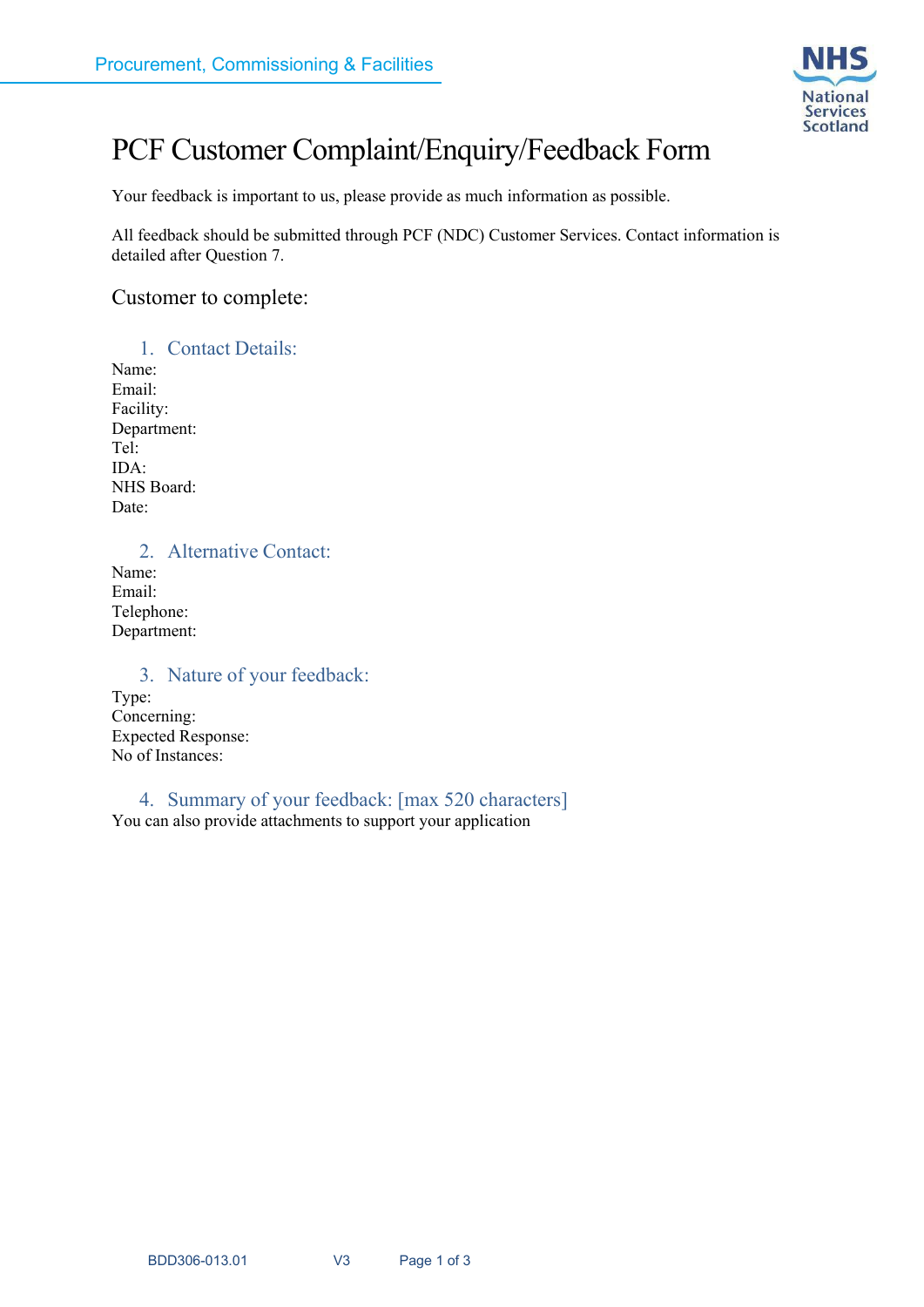

# PCF Customer Complaint/Enquiry/Feedback Form

Your feedback is important to us, please provide as much information as possible.

All feedback should be submitted through PCF (NDC) Customer Services. Contact information is detailed after Question 7.

#### Customer to complete:

1. Contact Details: Name: Email: Facility: Department: Tel: IDA: NHS Board: Date:

2. Alternative Contact:

Name: Email: Telephone: Department:

#### 3. Nature of your feedback:

Type: Concerning: Expected Response: No of Instances:

4. Summary of your feedback: [max 520 characters] You can also provide attachments to support your application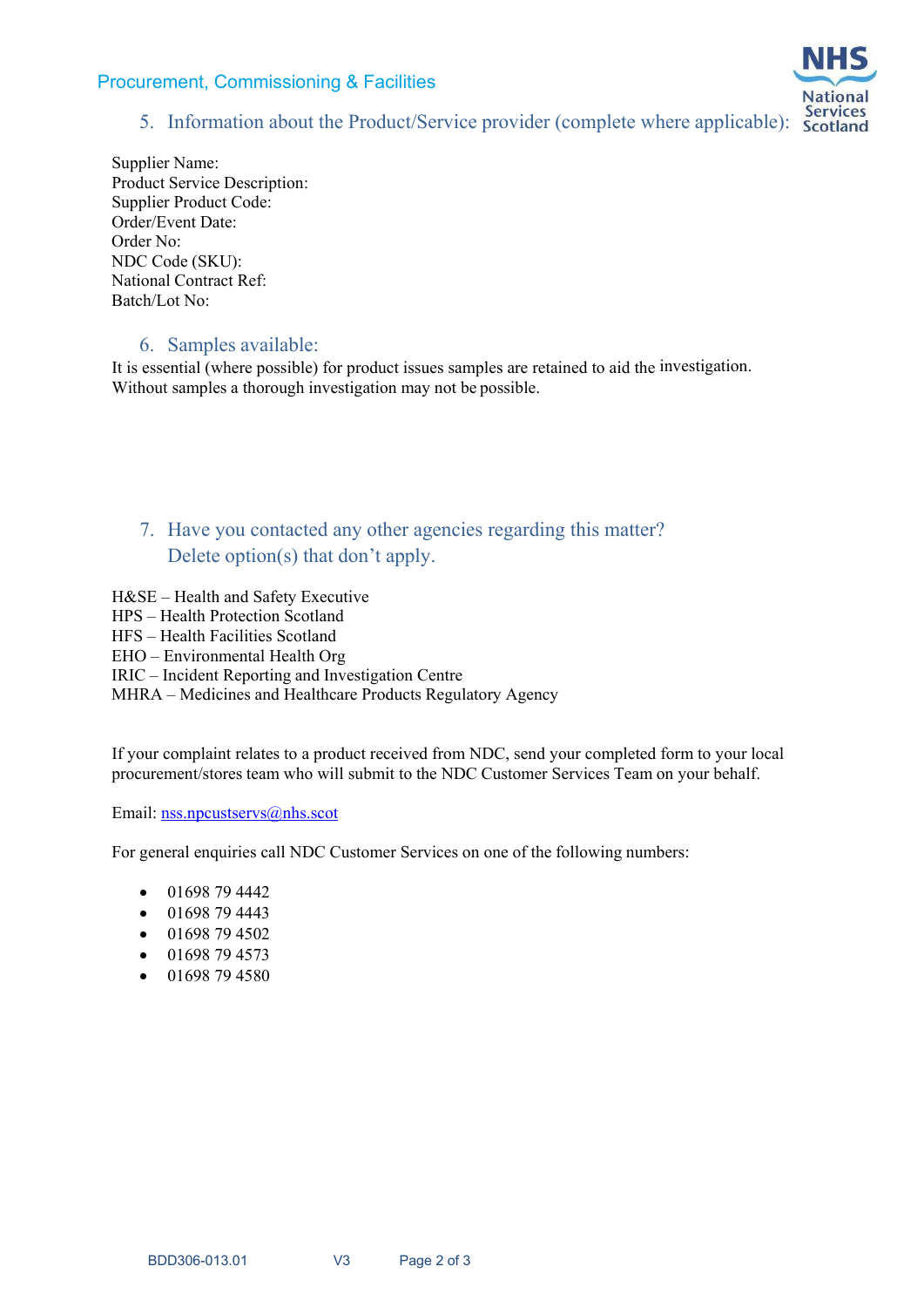#### Procurement, Commissioning & Facilities



## 5. Information about the Product/Service provider (complete where applicable): Scotland

Supplier Name: Product Service Description: Supplier Product Code: Order/Event Date: Order No: NDC Code (SKU): National Contract Ref: Batch/Lot No:

#### 6. Samples available:

It is essential (where possible) for product issues samples are retained to aid the investigation. Without samples a thorough investigation may not be possible.

## 7. Have you contacted any other agencies regarding this matter? Delete option(s) that don't apply.

H&SE – Health and Safety Executive HPS – Health Protection Scotland HFS – Health Facilities Scotland EHO – Environmental Health Org IRIC – Incident Reporting and Investigation Centre MHRA – Medicines and Healthcare Products Regulatory Agency

If your complaint relates to a product received from NDC, send your completed form to your local procurement/stores team who will submit to the NDC Customer Services Team on your behalf.

Email: nss.npcustservs@nhs.scot

For general enquiries call NDC Customer Services on one of the following numbers:

- 01698 79 4442
- $\bullet$  01698 79 4443
- $\bullet$  01698 79 4502
- 01698 79 4573
- 01698 79 4580